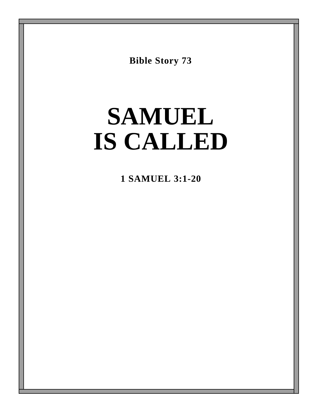**Bible Story 73**

# **SAMUEL IS CALLED**

**1 SAMUEL 3:1-20**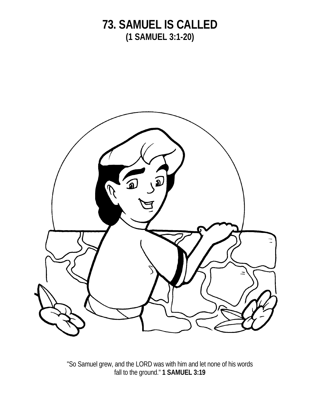

"So Samuel grew, and the LORD was with him and let none of his words fall to the ground." **1 SAMUEL 3:19**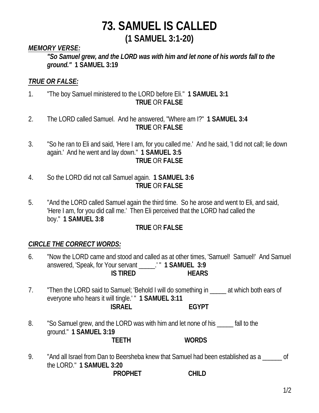#### *MEMORY VERSE:*

*"So Samuel grew, and the LORD was with him and let none of his words fall to the ground."* **1 SAMUEL 3:19**

#### *TRUE OR FALSE:*

- 1. "The boy Samuel ministered to the LORD before Eli." **1 SAMUEL 3:1 TRUE** OR **FALSE**
- 2. The LORD called Samuel. And he answered, "Where am I?" **1 SAMUEL 3:4 TRUE** OR **FALSE**
- 3. "So he ran to Eli and said, 'Here I am, for you called me.' And he said, 'I did not call; lie down again.' And he went and lay down." **1 SAMUEL 3:5 TRUE** OR **FALSE**
- 4. So the LORD did not call Samuel again. **1 SAMUEL 3:6 TRUE** OR **FALSE**
- 5. "And the LORD called Samuel again the third time. So he arose and went to Eli, and said, 'Here I am, for you did call me.' Then Eli perceived that the LORD had called the boy." **1 SAMUEL 3:8**

#### **TRUE** OR **FALSE**

#### *CIRCLE THE CORRECT WORDS:*

- 6. "Now the LORD came and stood and called as at other times, 'Samuel! Samuel!' And Samuel answered, 'Speak, for Your servant \_\_\_\_\_.' " **1 SAMUEL 3:9 IS TIRED HEARS**
- 7. "Then the LORD said to Samuel; 'Behold I will do something in The at which both ears of everyone who hears it will tingle.' " **1 SAMUEL 3:11 ISRAEL EGYPT**
- 8. "So Samuel grew, and the LORD was with him and let none of his \_\_\_\_\_ fall to the ground." **1 SAMUEL 3:19 TEETH WORDS**
- 9. "And all Israel from Dan to Beersheba knew that Samuel had been established as a \_\_\_\_\_\_ of the LORD." **1 SAMUEL 3:20**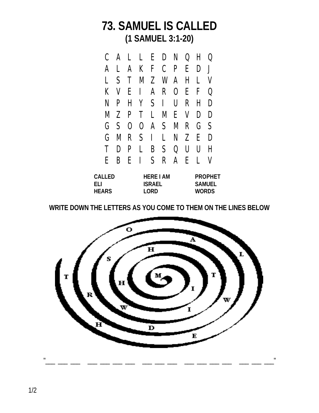

| <b>CALLED</b> | <b>HERE LAM</b> | <b>PROPHET</b> |
|---------------|-----------------|----------------|
| FH.           | <b>ISRAEL</b>   | <b>SAMUEL</b>  |
| <b>HEARS</b>  | <b>LORD</b>     | <b>WORDS</b>   |

**WRITE DOWN THE LETTERS AS YOU COME TO THEM ON THE LINES BELOW**

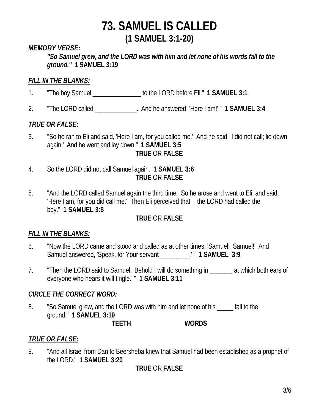#### *MEMORY VERSE:*

*"So Samuel grew, and the LORD was with him and let none of his words fall to the ground."* **1 SAMUEL 3:19**

#### *FILL IN THE BLANKS:*

- 1. "The boy Samuel \_\_\_\_\_\_\_\_\_\_\_\_\_\_\_ to the LORD before Eli." **1 SAMUEL 3:1**
- 2. "The LORD called \_\_\_\_\_\_\_\_\_\_\_\_\_. And he answered, 'Here I am!' " **1 SAMUEL 3:4**

#### *TRUE OR FALSE:*

- 3. "So he ran to Eli and said, 'Here I am, for you called me.' And he said, 'I did not call; lie down again.' And he went and lay down." **1 SAMUEL 3:5 TRUE** OR **FALSE**
- 4. So the LORD did not call Samuel again. **1 SAMUEL 3:6 TRUE** OR **FALSE**
- 5. "And the LORD called Samuel again the third time. So he arose and went to Eli, and said, 'Here I am, for you did call me.' Then Eli perceived that the LORD had called the boy." **1 SAMUEL 3:8**

#### **TRUE** OR **FALSE**

#### *FILL IN THE BLANKS:*

- 6. "Now the LORD came and stood and called as at other times, 'Samuel! Samuel!' And Samuel answered, 'Speak, for Your servant \_\_\_\_\_\_\_\_\_.' " **1 SAMUEL 3:9**
- 7. Then the LORD said to Samuel; 'Behold I will do something in Task which both ears of everyone who hears it will tingle.' " **1 SAMUEL 3:11**

#### *CIRCLE THE CORRECT WORD:*

8. "So Samuel grew, and the LORD was with him and let none of his \_\_\_\_\_ fall to the ground." **1 SAMUEL 3:19**

**TEETH WORDS**

## *TRUE OR FALSE:*

9. "And all Israel from Dan to Beersheba knew that Samuel had been established as a prophet of the LORD." **1 SAMUEL 3:20**

## **TRUE** OR **FALSE**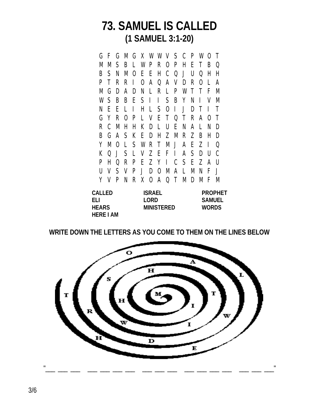G F G M G X W W V S C P W O T M M S B L W P R O P H E T B Q B S N M O E E H C Q J U Q H H P T R R I O A Q A V D R O L A M G D A D N L R L P W T T F M W S B B E S I I S B Y N I V M N E E L I H L S O I J D T I T G Y R O P L V E T Q T R A O T R C M H H K D L U E N A L N D B G A S K E D H Z M R Z B H D Y M O L S W R T M J A E Z I Q K Q J S L V Z E F I A S D U C P H Q R P E Z Y I C S E Z A U U V S V P J D O M A L M N F J Y V P N R X O A Q T M D M F M

| <b>CALLED</b>   | <b>ISRAEL</b>     | <b>PROPHET</b> |
|-----------------|-------------------|----------------|
| FH.             | I ORD             | <b>SAMUEL</b>  |
| <b>HEARS</b>    | <b>MINISTERED</b> | <b>WORDS</b>   |
| <b>HERE LAM</b> |                   |                |

**WRITE DOWN THE LETTERS AS YOU COME TO THEM ON THE LINES BELOW**



3/6